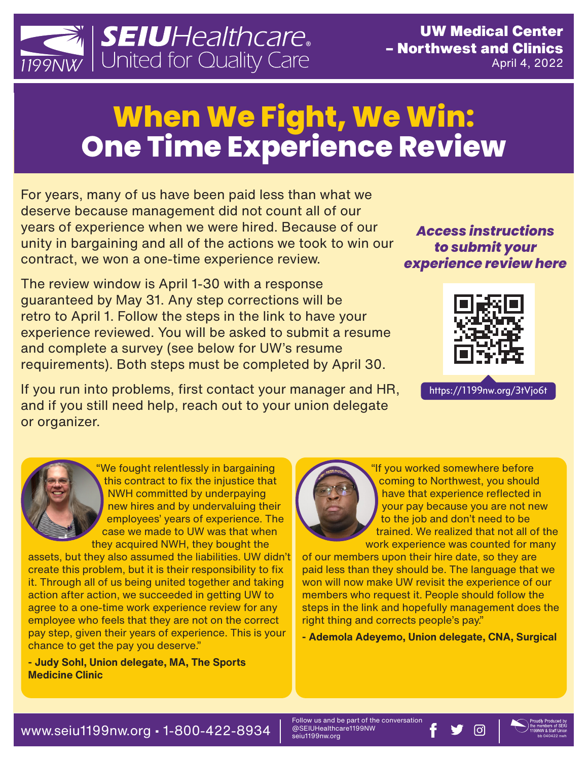

# **When We Fight, We Win: One Time Experience Review**

For years, many of us have been paid less than what we deserve because management did not count all of our years of experience when we were hired. Because of our unity in bargaining and all of the actions we took to win our contract, we won a one-time experience review.

The review window is April 1-30 with a response guaranteed by May 31. Any step corrections will be retro to April 1. Follow the steps in the link to have your experience reviewed. You will be asked to submit a resume and complete a survey (see below for UW's resume requirements). Both steps must be completed by April 30.

If you run into problems, first contact your manager and HR, and if you still need help, reach out to your union delegate or organizer.

#### *Access instructions to submit your experience review here*



https://1199nw.org/3tVjo6t

"We fought relentlessly in bargaining this contract to fix the injustice that NWH committed by underpaying new hires and by undervaluing their employees' years of experience. The case we made to UW was that when they acquired NWH, they bought the

assets, but they also assumed the liabilities. UW didn't create this problem, but it is their responsibility to fix it. Through all of us being united together and taking action after action, we succeeded in getting UW to agree to a one-time work experience review for any employee who feels that they are not on the correct pay step, given their years of experience. This is your chance to get the pay you deserve."

**- Judy Sohl, Union delegate, MA, The Sports Medicine Clinic** 



"If you worked somewhere before coming to Northwest, you should have that experience reflected in your pay because you are not new to the job and don't need to be trained. We realized that not all of the work experience was counted for many

of our members upon their hire date, so they are paid less than they should be. The language that we won will now make UW revisit the experience of our members who request it. People should follow the steps in the link and hopefully management does the right thing and corrects people's pay."

**- Ademola Adeyemo, Union delegate, CNA, Surgical**

Follow us and be part of the conversation<br>@SEIUHealthcare1199NW